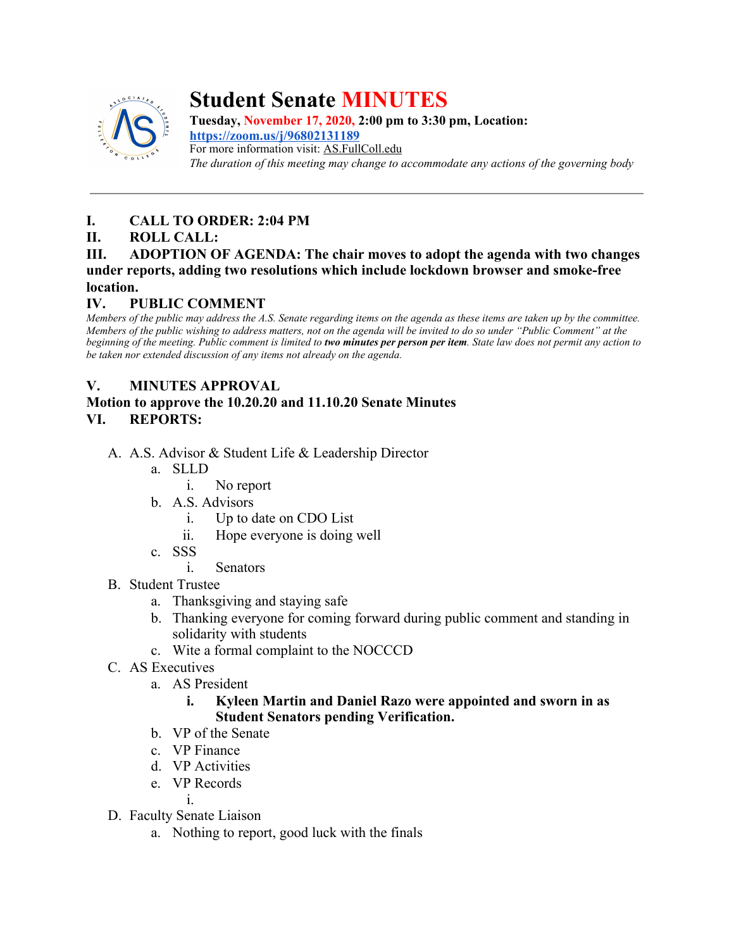

# **Student Senate MINUTES**

**Tuesday, November 17, 2020, 2:00 pm to 3:30 pm, Location: <https://zoom.us/j/96802131189>** For more information visit: AS.FullColl.edu *The duration of this meeting may change to accommodate any actions of the governing body*

# **I. CALL TO ORDER: 2:04 PM**

# **II. ROLL CALL:**

#### **III. ADOPTION OF AGENDA: The chair moves to adopt the agenda with two changes under reports, adding two resolutions which include lockdown browser and smoke-free location.**

# **IV. PUBLIC COMMENT**

*Members of the public may address the A.S. Senate regarding items on the agenda as these items are taken up by the committee. Members of the public wishing to address matters, not on the agenda will be invited to do so under "Public Comment" at the beginning of the meeting. Public comment is limited to two minutes per person per item. State law does not permit any action to be taken nor extended discussion of any items not already on the agenda.*

# **V. MINUTES APPROVAL**

## **Motion to approve the 10.20.20 and 11.10.20 Senate Minutes VI. REPORTS:**

- A. A.S. Advisor & Student Life & Leadership Director
	- a. SLLD
		- i. No report
	- b. A.S. Advisors
		- i. Up to date on CDO List
		- ii. Hope everyone is doing well
	- c. SSS
		- i. Senators
- B. Student Trustee
	- a. Thanksgiving and staying safe
	- b. Thanking everyone for coming forward during public comment and standing in solidarity with students
	- c. Wite a formal complaint to the NOCCCD
- C. AS Executives
	- a. AS President

## **i. Kyleen Martin and Daniel Razo were appointed and sworn in as Student Senators pending Verification.**

- b. VP of the Senate
- c. VP Finance
- d. VP Activities
- e. VP Records

i.

- D. Faculty Senate Liaison
	- a. Nothing to report, good luck with the finals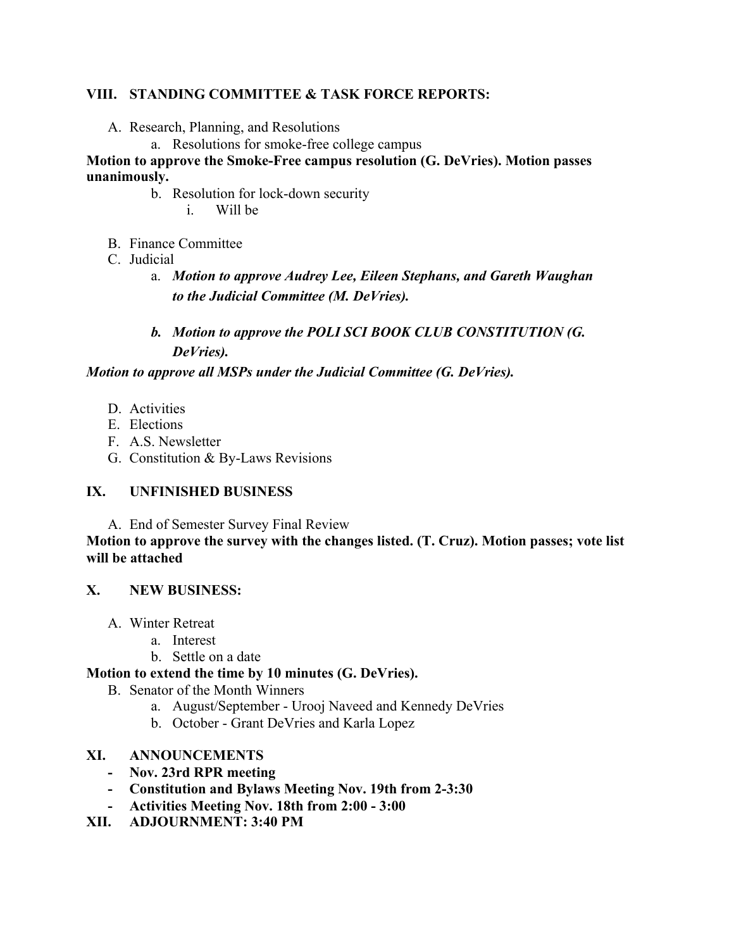#### **VIII. STANDING COMMITTEE & TASK FORCE REPORTS:**

- A. Research, Planning, and Resolutions
	- a. Resolutions for smoke-free college campus

#### **Motion to approve the Smoke-Free campus resolution (G. DeVries). Motion passes unanimously.**

- b. Resolution for lock-down security
	- i. Will be
- B. Finance Committee
- C. Judicial
	- a. *Motion to approve Audrey Lee, Eileen Stephans, and Gareth Waughan to the Judicial Committee (M. DeVries).*

# *b. Motion to approve the POLI SCI BOOK CLUB CONSTITUTION (G. DeVries).*

*Motion to approve all MSPs under the Judicial Committee (G. DeVries).*

- D. Activities
- E. Elections
- F. A.S. Newsletter
- G. Constitution & By-Laws Revisions

## **IX. UNFINISHED BUSINESS**

A. End of Semester Survey Final Review

**Motion to approve the survey with the changes listed. (T. Cruz). Motion passes; vote list will be attached**

## **X. NEW BUSINESS:**

- A. Winter Retreat
	- a. Interest
	- b. Settle on a date

## **Motion to extend the time by 10 minutes (G. DeVries).**

- B. Senator of the Month Winners
	- a. August/September Urooj Naveed and Kennedy DeVries
	- b. October Grant DeVries and Karla Lopez

## **XI. ANNOUNCEMENTS**

- **- Nov. 23rd RPR meeting**
- **- Constitution and Bylaws Meeting Nov. 19th from 2-3:30**
- **- Activities Meeting Nov. 18th from 2:00 3:00**
- **XII. ADJOURNMENT: 3:40 PM**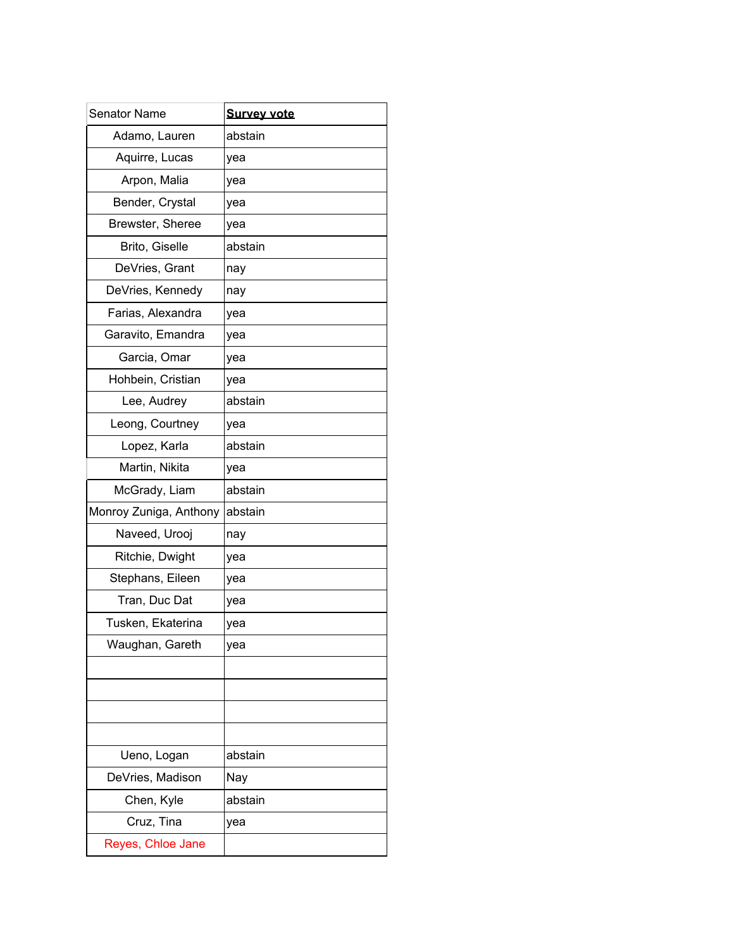| <b>Senator Name</b>    | <b>Survey vote</b> |
|------------------------|--------------------|
| Adamo, Lauren          | abstain            |
| Aquirre, Lucas         | yea                |
| Arpon, Malia           | vea                |
| Bender, Crystal        | yea                |
| Brewster, Sheree       | yea                |
| Brito, Giselle         | abstain            |
| DeVries, Grant         | nay                |
| DeVries, Kennedy       | nay                |
| Farias, Alexandra      | yea                |
| Garavito, Emandra      | yea                |
| Garcia, Omar           | yea                |
| Hohbein, Cristian      | yea                |
| Lee, Audrey            | abstain            |
| Leong, Courtney        | yea                |
| Lopez, Karla           | abstain            |
| Martin, Nikita         | yea                |
| McGrady, Liam          | abstain            |
| Monroy Zuniga, Anthony | abstain            |
| Naveed, Urooj          | nay                |
| Ritchie, Dwight        | yea                |
| Stephans, Eileen       | yea                |
| Tran, Duc Dat          | yea                |
| Tusken, Ekaterina      | yea                |
| Waughan, Gareth        | yea                |
|                        |                    |
|                        |                    |
|                        |                    |
|                        |                    |
| Ueno, Logan            | abstain            |
| DeVries, Madison       | Nay                |
| Chen, Kyle             | abstain            |
| Cruz, Tina             | yea                |
| Reyes, Chloe Jane      |                    |